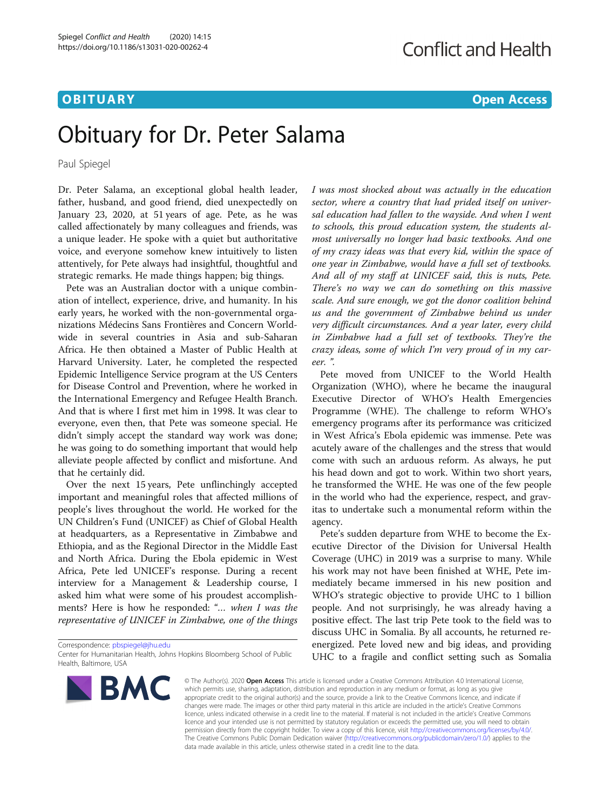### **OBITUARY OBITUARY OBITUARY**

# Obituary for Dr. Peter Salama

Paul Spiegel

Dr. Peter Salama, an exceptional global health leader, father, husband, and good friend, died unexpectedly on January 23, 2020, at 51 years of age. Pete, as he was called affectionately by many colleagues and friends, was a unique leader. He spoke with a quiet but authoritative voice, and everyone somehow knew intuitively to listen attentively, for Pete always had insightful, thoughtful and strategic remarks. He made things happen; big things.

Pete was an Australian doctor with a unique combination of intellect, experience, drive, and humanity. In his early years, he worked with the non-governmental organizations Médecins Sans Frontières and Concern Worldwide in several countries in Asia and sub-Saharan Africa. He then obtained a Master of Public Health at Harvard University. Later, he completed the respected Epidemic Intelligence Service program at the US Centers for Disease Control and Prevention, where he worked in the International Emergency and Refugee Health Branch. And that is where I first met him in 1998. It was clear to everyone, even then, that Pete was someone special. He didn't simply accept the standard way work was done; he was going to do something important that would help alleviate people affected by conflict and misfortune. And that he certainly did.

Over the next 15 years, Pete unflinchingly accepted important and meaningful roles that affected millions of people's lives throughout the world. He worked for the UN Children's Fund (UNICEF) as Chief of Global Health at headquarters, as a Representative in Zimbabwe and Ethiopia, and as the Regional Director in the Middle East and North Africa. During the Ebola epidemic in West Africa, Pete led UNICEF's response. During a recent interview for a Management & Leadership course, I asked him what were some of his proudest accomplishments? Here is how he responded: "... when I was the representative of UNICEF in Zimbabwe, one of the things

Correspondence: [pbspiegel@jhu.edu](mailto:pbspiegel@jhu.edu)

Center for Humanitarian Health, Johns Hopkins Bloomberg School of Public Health, Baltimore, USA



I was most shocked about was actually in the education sector, where a country that had prided itself on universal education had fallen to the wayside. And when I went to schools, this proud education system, the students almost universally no longer had basic textbooks. And one of my crazy ideas was that every kid, within the space of one year in Zimbabwe, would have a full set of textbooks. And all of my staff at UNICEF said, this is nuts, Pete. There's no way we can do something on this massive scale. And sure enough, we got the donor coalition behind us and the government of Zimbabwe behind us under very difficult circumstances. And a year later, every child in Zimbabwe had a full set of textbooks. They're the crazy ideas, some of which I'm very proud of in my career. ".

Pete moved from UNICEF to the World Health Organization (WHO), where he became the inaugural Executive Director of WHO's Health Emergencies Programme (WHE). The challenge to reform WHO's emergency programs after its performance was criticized in West Africa's Ebola epidemic was immense. Pete was acutely aware of the challenges and the stress that would come with such an arduous reform. As always, he put his head down and got to work. Within two short years, he transformed the WHE. He was one of the few people in the world who had the experience, respect, and gravitas to undertake such a monumental reform within the agency.

Pete's sudden departure from WHE to become the Executive Director of the Division for Universal Health Coverage (UHC) in 2019 was a surprise to many. While his work may not have been finished at WHE, Pete immediately became immersed in his new position and WHO's strategic objective to provide UHC to 1 billion people. And not surprisingly, he was already having a positive effect. The last trip Pete took to the field was to discuss UHC in Somalia. By all accounts, he returned reenergized. Pete loved new and big ideas, and providing UHC to a fragile and conflict setting such as Somalia

© The Author(s), 2020 **Open Access** This article is licensed under a Creative Commons Attribution 4.0 International License, which permits use, sharing, adaptation, distribution and reproduction in any medium or format, as long as you give appropriate credit to the original author(s) and the source, provide a link to the Creative Commons licence, and indicate if changes were made. The images or other third party material in this article are included in the article's Creative Commons licence, unless indicated otherwise in a credit line to the material. If material is not included in the article's Creative Commons licence and your intended use is not permitted by statutory regulation or exceeds the permitted use, you will need to obtain permission directly from the copyright holder. To view a copy of this licence, visit [http://creativecommons.org/licenses/by/4.0/.](http://creativecommons.org/licenses/by/4.0/) The Creative Commons Public Domain Dedication waiver [\(http://creativecommons.org/publicdomain/zero/1.0/](http://creativecommons.org/publicdomain/zero/1.0/)) applies to the data made available in this article, unless otherwise stated in a credit line to the data.